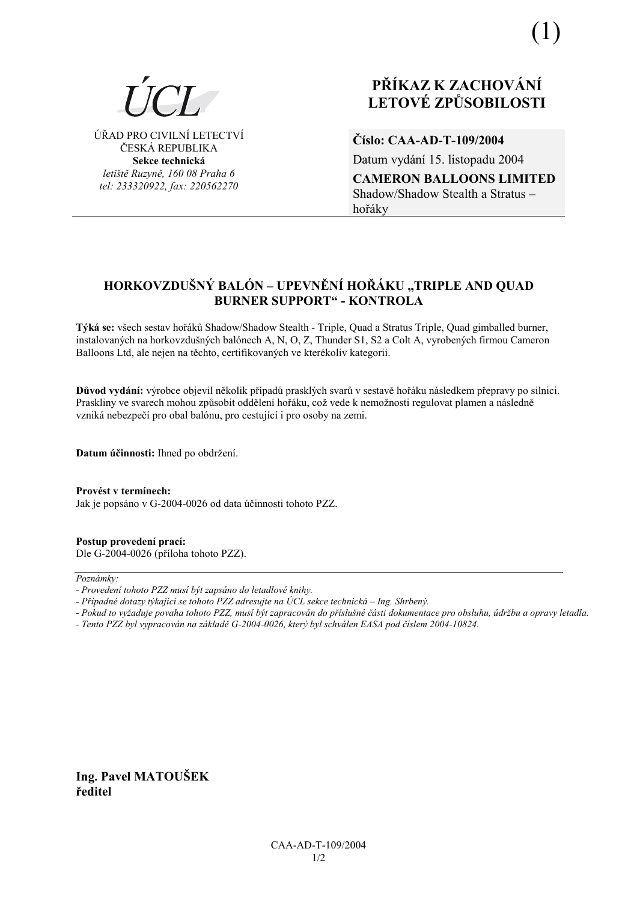

ÚŘAD PRO CIVILNÍ LETECTVÍ ČESKÁ REPUBLIKA Sekce technická letiště Ruzyně, 160 08 Praha 6 tel: 233320922, fax: 220562270

# PŘÍKAZ K ZACHOVÁNÍ **LETOVÉ ZPŮSOBILOSTI**

Číslo: CAA-AD-T-109/2004

Datum vydání 15. listopadu 2004

**CAMERON BALLOONS LIMITED** Shadow/Shadow Stealth a Stratus hořáky

## HORKOVZDUŠNÝ BALÓN – UPEVNĚNÍ HOŘÁKU "TRIPLE AND QUAD **BURNER SUPPORT" - KONTROLA**

Týká se: všech sestav hořáků Shadow/Shadow Stealth - Triple, Quad a Stratus Triple, Quad gimballed burner, instalovaných na horkovzdušných balónech A, N, O, Z, Thunder S1, S2 a Colt A, vyrobených firmou Cameron Balloons Ltd, ale nejen na těchto, certifikovaných ve kterékoliv kategorii.

Důvod vydání: výrobce objevil několik případů prasklých svarů v sestavě hořáku následkem přepravy po silnici. Praskliny ve svarech mohou způsobit oddělení hořáku, což vede k nemožnosti regulovat plamen a následně vzniká nebezpečí pro obal balónu, pro cestující i pro osoby na zemi.

Datum účinnosti: Ihned po obdržení.

Provést v termínech: Jak je popsáno v G-2004-0026 od data účinnosti tohoto PZZ.

Postup provedení prací: Dle G-2004-0026 (příloha tohoto PZZ).

Poznámky:

- Pokud to vyžaduje povaha tohoto PZZ, musí být zapracován do příslušné části dokumentace pro obsluhu, údržbu a opravy letadla.
- Tento PZZ byl vypracován na základě G-2004-0026, který byl schválen EASA pod číslem 2004-10824.

Ing. Pavel MATOUŠEK ředitel

<sup>-</sup> Provedení tohoto PZZ musí být zapsáno do letadlové knihy.

<sup>-</sup> Případné dotazy týkající se tohoto PZZ adresujte na ÚCL sekce technická – Ing. Shrbený.